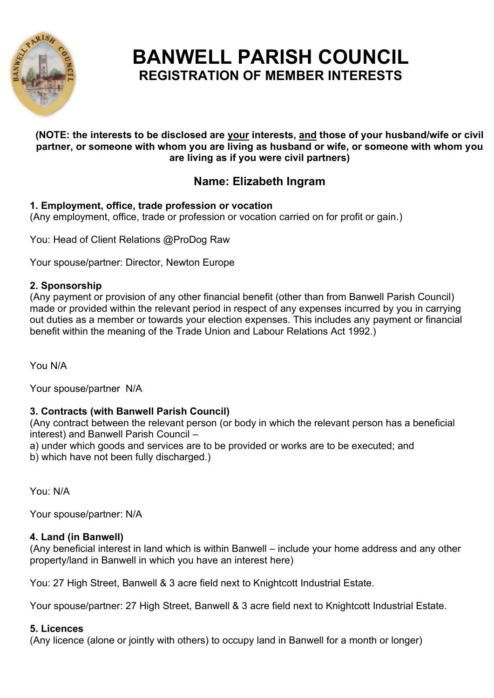

# **BANWELL PARISH COUNCIL REGISTRATION OF MEMBER INTERESTS**

#### **(NOTE: the interests to be disclosed are your interests, and those of your husband/wife or civil partner, or someone with whom you are living as husband or wife, or someone with whom you are living as if you were civil partners)**

## **Name: Elizabeth Ingram**

## **1. Employment, office, trade profession or vocation**

(Any employment, office, trade or profession or vocation carried on for profit or gain.)

You: Head of Client Relations @ProDog Raw

Your spouse/partner: Director, Newton Europe

## **2. Sponsorship**

(Any payment or provision of any other financial benefit (other than from Banwell Parish Council) made or provided within the relevant period in respect of any expenses incurred by you in carrying out duties as a member or towards your election expenses. This includes any payment or financial benefit within the meaning of the Trade Union and Labour Relations Act 1992.)

You N/A

Your spouse/partner N/A

## **3. Contracts (with Banwell Parish Council)**

(Any contract between the relevant person (or body in which the relevant person has a beneficial interest) and Banwell Parish Council –

a) under which goods and services are to be provided or works are to be executed; and

b) which have not been fully discharged.)

You: N/A

Your spouse/partner: N/A

## **4. Land (in Banwell)**

(Any beneficial interest in land which is within Banwell – include your home address and any other property/land in Banwell in which you have an interest here)

You: 27 High Street, Banwell & 3 acre field next to Knightcott Industrial Estate.

Your spouse/partner: 27 High Street, Banwell & 3 acre field next to Knightcott Industrial Estate.

## **5. Licences**

(Any licence (alone or jointly with others) to occupy land in Banwell for a month or longer)